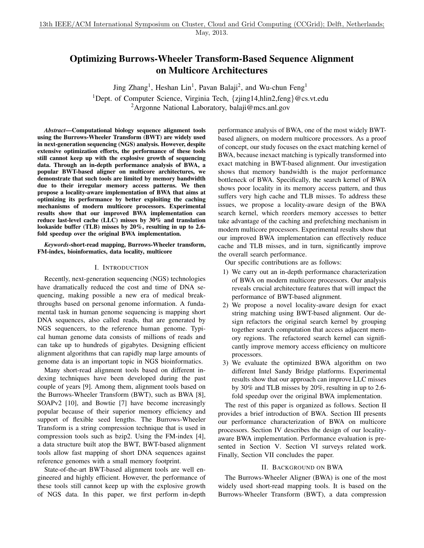# Optimizing Burrows-Wheeler Transform-Based Sequence Alignment on Multicore Architectures

Jing Zhang<sup>1</sup>, Heshan Lin<sup>1</sup>, Pavan Balaji<sup>2</sup>, and Wu-chun Feng<sup>1</sup> <sup>1</sup>Dept. of Computer Science, Virginia Tech,  $\{z\}$ ing14,hlin2,feng $\{$  @cs.vt.edu <sup>2</sup>Argonne National Laboratory, balaji@mcs.anl.gov

*Abstract*—Computational biology sequence alignment tools using the Burrows-Wheeler Transform (BWT) are widely used in next-generation sequencing (NGS) analysis. However, despite extensive optimization efforts, the performance of these tools still cannot keep up with the explosive growth of sequencing data. Through an in-depth performance analysis of BWA, a popular BWT-based aligner on multicore architectures, we demonstrate that such tools are limited by memory bandwidth due to their irregular memory access patterns. We then propose a locality-aware implementation of BWA that aims at optimizing its performance by better exploiting the caching mechanisms of modern multicore processors. Experimental results show that our improved BWA implementation can reduce last-level cache (LLC) misses by 30% and translation lookaside buffer (TLB) misses by 20%, resulting in up to 2.6 fold speedup over the original BWA implementation.

*Keywords*-short-read mapping, Burrows-Wheeler transform, FM-index, bioinformatics, data locality, multicore

## I. INTRODUCTION

Recently, next-generation sequencing (NGS) technologies have dramatically reduced the cost and time of DNA sequencing, making possible a new era of medical breakthroughs based on personal genome information. A fundamental task in human genome sequencing is mapping short DNA sequences, also called reads, that are generated by NGS sequencers, to the reference human genome. Typical human genome data consists of millions of reads and can take up to hundreds of gigabytes. Designing efficient alignment algorithms that can rapidly map large amounts of genome data is an important topic in NGS bioinformatics.

Many short-read alignment tools based on different indexing techniques have been developed during the past couple of years [9]. Among them, alignment tools based on the Burrows-Wheeler Transform (BWT), such as BWA [8], SOAPv2 [10], and Bowtie [7] have become increasingly popular because of their superior memory efficiency and support of flexible seed lengths. The Burrows-Wheeler Transform is a string compression technique that is used in compression tools such as bzip2. Using the FM-index [4], a data structure built atop the BWT, BWT-based alignment tools allow fast mapping of short DNA sequences against reference genomes with a small memory footprint.

State-of-the-art BWT-based alignment tools are well engineered and highly efficient. However, the performance of these tools still cannot keep up with the explosive growth of NGS data. In this paper, we first perform in-depth performance analysis of BWA, one of the most widely BWTbased aligners, on modern multicore processors. As a proof of concept, our study focuses on the exact matching kernel of BWA, because inexact matching is typically transformed into exact matching in BWT-based alignment. Our investigation shows that memory bandwidth is the major performance bottleneck of BWA. Specifically, the search kernel of BWA shows poor locality in its memory access pattern, and thus suffers very high cache and TLB misses. To address these issues, we propose a locality-aware design of the BWA search kernel, which reorders memory accesses to better take advantage of the caching and prefetching mechanism in modern multicore processors. Experimental results show that our improved BWA implementation can effectively reduce cache and TLB misses, and in turn, significantly improve the overall search performance.

Our specific contributions are as follows:

- 1) We carry out an in-depth performance characterization of BWA on modern multicore processors. Our analysis reveals crucial architecture features that will impact the performance of BWT-based alignment.
- 2) We propose a novel locality-aware design for exact string matching using BWT-based alignment. Our design refactors the original search kernel by grouping together search computation that access adjacent memory regions. The refactored search kernel can significantly improve memory access efficiency on multicore processors.
- 3) We evaluate the optimized BWA algorithm on two different Intel Sandy Bridge platforms. Experimental results show that our approach can improve LLC misses by 30% and TLB misses by 20%, resulting in up to 2.6 fold speedup over the original BWA implementation.

The rest of this paper is organized as follows. Section II provides a brief introduction of BWA. Section III presents our performance characterization of BWA on multicore processors. Section IV describes the design of our localityaware BWA implementation. Performance evaluation is presented in Section V. Section VI surveys related work. Finally, Section VII concludes the paper.

# II. BACKGROUND ON BWA

The Burrows-Wheeler Aligner (BWA) is one of the most widely used short-read mapping tools. It is based on the Burrows-Wheeler Transform (BWT), a data compression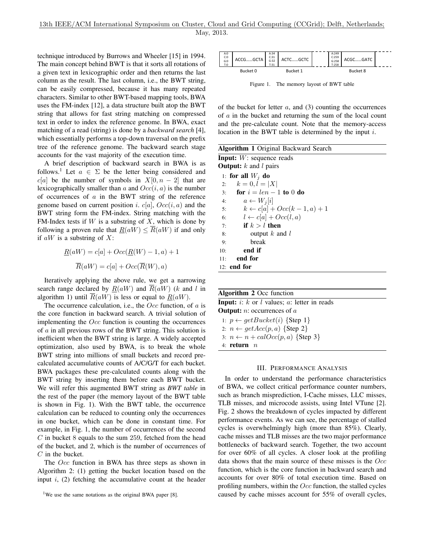technique introduced by Burrows and Wheeler [15] in 1994. The main concept behind BWT is that it sorts all rotations of a given text in lexicographic order and then returns the last column as the result. The last column, i.e., the BWT string, can be easily compressed, because it has many repeated characters. Similar to other BWT-based mapping tools, BWA uses the FM-index [12], a data structure built atop the BWT string that allows for fast string matching on compressed text in order to index the reference genome. In BWA, exact matching of a read (string) is done by a *backward search* [4], which essentially performs a top-down traversal on the prefix tree of the reference genome. The backward search stage accounts for the vast majority of the execution time.

A brief description of backward search in BWA is as follows.<sup>1</sup> Let  $a \in \Sigma$  be the letter being considered and c[a] be the number of symbols in  $X[0, n-2]$  that are lexicographically smaller than a and  $Occ(i, a)$  is the number of occurrences of  $a$  in the BWT string of the reference genome based on current position *i.*  $c[a]$ ,  $Occ(i, a)$  and the BWT string form the FM-index. String matching with the FM-Index tests if  $W$  is a substring of  $X$ , which is done by following a proven rule that  $R(aW) \leq R(aW)$  if and only if  $aW$  is a substring of  $X$ :

$$
\underline{R}(aW) = c[a] + Occ(\underline{R}(W) - 1, a) + 1
$$

$$
\overline{R}(aW) = c[a] + Occ(\overline{R}(W), a)
$$

Iteratively applying the above rule, we get a narrowing search range declared by  $R(aW)$  and  $R(aW)$  (k and l in algorithm 1) until  $R(aW)$  is less or equal to  $R(aW)$ .

The occurrence calculation, i.e., the  $Occ$  function, of  $a$  is the core function in backward search. A trivial solution of implementing the  $Occ$  function is counting the occurrences of  $\alpha$  in all previous rows of the BWT string. This solution is inefficient when the BWT string is large. A widely accepted optimization, also used by BWA, is to break the whole BWT string into millions of small buckets and record precalculated accumulative counts of A/C/G/T for each bucket. BWA packages these pre-calculated counts along with the BWT string by inserting them before each BWT bucket. We will refer this augmented BWT string as *BWT table* in the rest of the paper (the memory layout of the BWT table is shown in Fig. 1). With the BWT table, the occurrence calculation can be reduced to counting only the occurrences in one bucket, which can be done in constant time. For example, in Fig. 1, the number of occurrences of the second  $C$  in bucket 8 equals to the sum 259, fetched from the head of the bucket, and 2, which is the number of occurrences of  $C$  in the bucket.

The *Occ* function in BWA has three steps as shown in Algorithm 2: (1) getting the bucket location based on the input  $i$ , (2) fetching the accumulative count at the header



Figure 1. The memory layout of BWT table

of the bucket for letter  $a$ , and  $(3)$  counting the occurrences of a in the bucket and returning the sum of the local count and the pre-calculate count. Note that the memory-access location in the BWT table is determined by the input i.

|     | Algorithm 1 Original Backward Search  |
|-----|---------------------------------------|
|     | <b>Input:</b> $W$ : sequence reads    |
|     | <b>Output:</b> $k$ and $l$ pairs      |
|     | 1: for all $W_i$ do                   |
|     | 2: $k = 0, l =  X $                   |
| 3:  | for $i = len - 1$ to 0 do             |
| 4:  | $a \leftarrow W_i[i]$                 |
| 5:  | $k \leftarrow c[a] + Occ(k-1, a) + 1$ |
| 6:  | $l \leftarrow c[a] + Occ(l, a)$       |
| 7:  | if $k > l$ then                       |
| 8:  | output $k$ and $l$                    |
| 9:  | <b>break</b>                          |
| 10: | end if                                |
| 11: | end for                               |
|     | $12:$ end for                         |

| <b>Algorithm 2 Occ function</b>                    |
|----------------------------------------------------|
| <b>Input:</b> i: k or l values; a: letter in reads |
| <b>Output:</b> <i>n</i> : occurrences of <i>a</i>  |
| 1: $p \leftarrow getBucker(i)$ {Step 1}            |
| 2: $n \leftarrow getAcc(p, a)$ {Step 2}            |
| 3: $n \leftarrow n + calOcc(p, a)$ {Step 3}        |
| 4: return $n$                                      |

#### III. PERFORMANCE ANALYSIS

In order to understand the performance characteristics of BWA, we collect critical performance counter numbers, such as branch misprediction, I-Cache misses, LLC misses, TLB misses, and microcode assists, using Intel VTune [2]. Fig. 2 shows the breakdown of cycles impacted by different performance events. As we can see, the percentage of stalled cycles is overwhelmingly high (more than 85%). Clearly, cache misses and TLB misses are the two major performance bottlenecks of backward search. Together, the two account for over 60% of all cycles. A closer look at the profiling data shows that the main source of these misses is the Occ function, which is the core function in backward search and accounts for over 80% of total execution time. Based on profiling numbers, within the  $Occ$  function, the stalled cycles caused by cache misses account for 55% of overall cycles,

<sup>&</sup>lt;sup>1</sup>We use the same notations as the original BWA paper [8].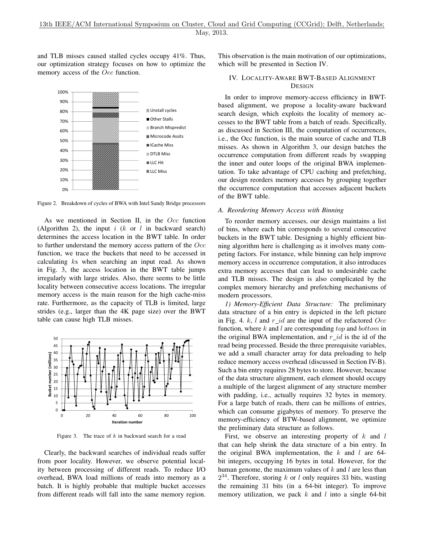and TLB misses caused stalled cycles occupy 41%. Thus, our optimization strategy focuses on how to optimize the memory access of the Occ function.



Figure 2. Breakdown of cycles of BWA with Intel Sandy Bridge processors

As we mentioned in Section II, in the  $Occ$  function (Algorithm 2), the input  $i$  ( $k$  or  $l$  in backward search) determines the access location in the BWT table. In order to further understand the memory access pattern of the Occ function, we trace the buckets that need to be accessed in calculating ks when searching an input read. As shown in Fig. 3, the access location in the BWT table jumps irregularly with large strides. Also, there seems to be little locality between consecutive access locations. The irregular memory access is the main reason for the high cache-miss rate. Furthermore, as the capacity of TLB is limited, large strides (e.g., larger than the 4K page size) over the BWT table can cause high TLB misses.



Figure 3. The trace of  $k$  in backward search for a read

Clearly, the backward searches of individual reads suffer from poor locality. However, we observe potential locality between processing of different reads. To reduce I/O overhead, BWA load millions of reads into memory as a batch. It is highly probable that multiple bucket accesses from different reads will fall into the same memory region. This observation is the main motivation of our optimizations, which will be presented in Section IV.

## IV. LOCALITY-AWARE BWT-BASED ALIGNMENT **DESIGN**

In order to improve memory-access efficiency in BWTbased alignment, we propose a locality-aware backward search design, which exploits the locality of memory accesses to the BWT table from a batch of reads. Specifically, as discussed in Section III, the computation of occurrences, i.e., the Occ function, is the main source of cache and TLB misses. As shown in Algorithm 3, our design batches the occurrence computation from different reads by swapping the inner and outer loops of the original BWA implementation. To take advantage of CPU caching and prefetching, our design reorders memory accesses by grouping together the occurrence computation that accesses adjacent buckets of the BWT table.

## *A. Reordering Memory Access with Binning*

To reorder memory accesses, our design maintains a list of bins, where each bin corresponds to several consecutive buckets in the BWT table. Designing a highly efficient binning algorithm here is challenging as it involves many competing factors. For instance, while binning can help improve memory access in occurrence computation, it also introduces extra memory accesses that can lead to undesirable cache and TLB misses. The design is also complicated by the complex memory hierarchy and prefetching mechanisms of modern processors.

*1) Memory-Efficient Data Structure:* The preliminary data structure of a bin entry is depicted in the left picture in Fig. 4.  $k$ , l and r id are the input of the refactored  $Occ$ function, where  $k$  and  $l$  are corresponding top and bottom in the original BWA implementation, and  $r_id$  is the id of the read being processed. Beside the three prerequisite variables, we add a small character array for data preloading to help reduce memory access overhead (discussed in Section IV-B). Such a bin entry requires 28 bytes to store. However, because of the data structure alignment, each element should occupy a multiple of the largest alignment of any structure member with padding, i.e., actually requires 32 bytes in memory. For a large batch of reads, there can be millions of entries, which can consume gigabytes of memory. To preserve the memory-efficiency of BTW-based alignment, we optimize the preliminary data structure as follows.

First, we observe an interesting property of  $k$  and  $l$ that can help shrink the data structure of a bin entry. In the original BWA implementation, the  $k$  and  $l$  are 64bit integers, occupying 16 bytes in total. However, for the human genome, the maximum values of  $k$  and  $l$  are less than  $2^{34}$ . Therefore, storing k or l only requires 33 bits, wasting the remaining 31 bits (in a 64-bit integer). To improve memory utilization, we pack  $k$  and  $l$  into a single 64-bit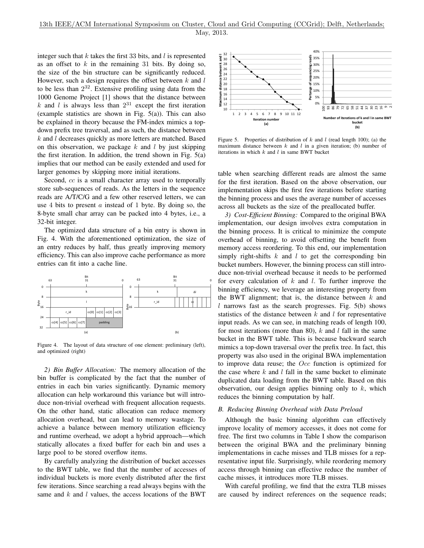integer such that  $k$  takes the first 33 bits, and  $l$  is represented as an offset to  $k$  in the remaining 31 bits. By doing so, the size of the bin structure can be significantly reduced. However, such a design requires the offset between  $k$  and  $l$ to be less than  $2^{32}$ . Extensive profiling using data from the 1000 Genome Project [1] shows that the distance between k and l is always less than  $2^{31}$  except the first iteration (example statistics are shown in Fig. 5(a)). This can also be explained in theory because the FM-index mimics a topdown prefix tree traversal, and as such, the distance between k and l decreases quickly as more letters are matched. Based on this observation, we package  $k$  and  $l$  by just skipping the first iteration. In addition, the trend shown in Fig.  $5(a)$ implies that our method can be easily extended and used for larger genomes by skipping more initial iterations.

Second, cc is a small character array used to temporally store sub-sequences of reads. As the letters in the sequence reads are A/T/C/G and a few other reserved letters, we can use 4 bits to present  $a$  instead of 1 byte. By doing so, the 8-byte small char array can be packed into 4 bytes, i.e., a 32-bit integer.

The optimized data structure of a bin entry is shown in Fig. 4. With the aforementioned optimization, the size of an entry reduces by half, thus greatly improving memory efficiency. This can also improve cache performance as more entries can fit into a cache line.



Figure 4. The layout of data structure of one element: preliminary (left), and optimized (right)

*2) Bin Buffer Allocation:* The memory allocation of the bin buffer is complicated by the fact that the number of entries in each bin varies significantly. Dynamic memory allocation can help workaround this variance but will introduce non-trivial overhead with frequent allocation requests. On the other hand, static allocation can reduce memory allocation overhead, but can lead to memory wastage. To achieve a balance between memory utilization efficiency and runtime overhead, we adopt a hybrid approach—which statically allocates a fixed buffer for each bin and uses a large pool to be stored overflow items.

By carefully analyzing the distribution of bucket accesses to the BWT table, we find that the number of accesses of individual buckets is more evenly distributed after the first few iterations. Since searching a read always begins with the same and  $k$  and  $l$  values, the access locations of the BWT



Figure 5. Properties of distribution of  $k$  and  $l$  (read length 100); (a) the maximum distance between  $k$  and  $l$  in a given iteration; (b) number of iterations in which  $k$  and  $l$  in same BWT bucket

table when searching different reads are almost the same for the first iteration. Based on the above observation, our implementation skips the first few iterations before starting the binning process and uses the average number of accesses across all buckets as the size of the preallocated buffer.

*3) Cost-Efficient Binning:* Compared to the original BWA implementation, our design involves extra computation in the binning process. It is critical to minimize the compute overhead of binning, to avoid offsetting the benefit from memory access reordering. To this end, our implementation simply right-shifts  $k$  and  $l$  to get the corresponding bin bucket numbers. However, the binning process can still introduce non-trivial overhead because it needs to be performed for every calculation of  $k$  and  $l$ . To further improve the binning efficiency, we leverage an interesting property from the BWT alignment; that is, the distance between  $k$  and l narrows fast as the search progresses. Fig.  $5(b)$  shows statistics of the distance between  $k$  and  $l$  for representative input reads. As we can see, in matching reads of length 100, for most iterations (more than 80),  $k$  and  $l$  fall in the same bucket in the BWT table. This is because backward search mimics a top-down traversal over the prefix tree. In fact, this property was also used in the original BWA implementation to improve data reuse; the Occ function is optimized for the case where  $k$  and  $l$  fall in the same bucket to eliminate duplicated data loading from the BWT table. Based on this observation, our design applies binning only to  $k$ , which reduces the binning computation by half.

## *B. Reducing Binning Overhead with Data Preload*

Although the basic binning algorithm can effectively improve locality of memory accesses, it does not come for free. The first two columns in Table I show the comparison between the original BWA and the preliminary binning implementations in cache misses and TLB misses for a representative input file. Surprisingly, while reordering memory access through binning can effective reduce the number of cache misses, it introduces more TLB misses.

With careful profiling, we find that the extra TLB misses are caused by indirect references on the sequence reads;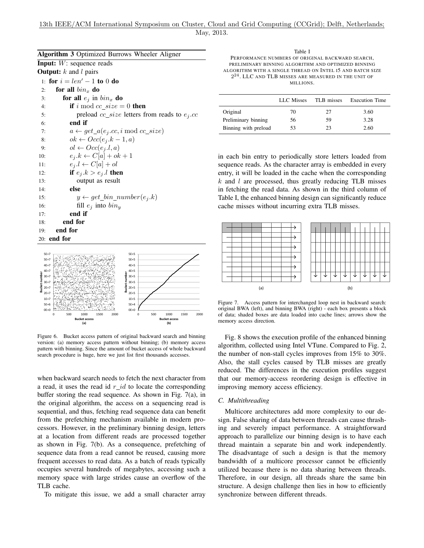| Algorithm 3 Optimized Burrows Wheeler Aligner            |  |  |  |  |  |  |
|----------------------------------------------------------|--|--|--|--|--|--|
| <b>Input:</b> $W$ : sequence reads                       |  |  |  |  |  |  |
| <b>Output:</b> $k$ and $l$ pairs                         |  |  |  |  |  |  |
| 1: for $i = len' - 1$ to 0 do                            |  |  |  |  |  |  |
| for all $bin_{x}$ do<br>2:                               |  |  |  |  |  |  |
| for all $e_i$ in $bin_x$ do<br>3:                        |  |  |  |  |  |  |
| if i mod $cc\_size = 0$ then<br>4:                       |  |  |  |  |  |  |
| preload $cc\_size$ letters from reads to $e_i$ .cc<br>5: |  |  |  |  |  |  |
| end if<br>6:                                             |  |  |  |  |  |  |
| $a \leftarrow get\_a(e_j.cc, i \mod cc\_size)$<br>7:     |  |  |  |  |  |  |
| $ok \leftarrow Occ(e_i.k-1,a)$<br>8:                     |  |  |  |  |  |  |
| $ol \leftarrow Occ(e_i.l, a)$<br>9:                      |  |  |  |  |  |  |
| $e_i.k \leftarrow C[a] + ok + 1$<br>10:                  |  |  |  |  |  |  |
| $e_i.l \leftarrow C[a] + ol$<br>11:                      |  |  |  |  |  |  |
| if $e_j.k > e_j.l$ then<br>12:                           |  |  |  |  |  |  |
| output as result<br>13:                                  |  |  |  |  |  |  |
| else<br>14:                                              |  |  |  |  |  |  |
| $y \leftarrow get\_bin\_number(e_i.k)$<br>15:            |  |  |  |  |  |  |
| fill $e_i$ into $\sin_u$<br>16:                          |  |  |  |  |  |  |
| end if<br>17:                                            |  |  |  |  |  |  |
| end for<br>18:                                           |  |  |  |  |  |  |
| end for<br>19:                                           |  |  |  |  |  |  |
| $20:$ end for                                            |  |  |  |  |  |  |
|                                                          |  |  |  |  |  |  |



Figure 6. Bucket access pattern of original backward search and binning version: (a) memory access pattern without binning; (b) memory access pattern with binning. Since the amount of bucket access of whole backward search procedure is huge, here we just list first thousands accesses.

when backward search needs to fetch the next character from a read, it uses the read id  $r_id$  to locate the corresponding buffer storing the read sequence. As shown in Fig. 7(a), in the original algorithm, the access on a sequencing read is sequential, and thus, fetching read sequence data can benefit from the prefetching mechanism available in modern processors. However, in the preliminary binning design, letters at a location from different reads are processed together as shown in Fig. 7(b). As a consequence, prefetching of sequence data from a read cannot be reused, causing more frequent accesses to read data. As a batch of reads typically occupies several hundreds of megabytes, accessing such a memory space with large strides cause an overflow of the TLB cache.

To mitigate this issue, we add a small character array

| Table I                                                   |
|-----------------------------------------------------------|
| PERFORMANCE NUMBERS OF ORIGINAL BACKWARD SEARCH,          |
| PRELIMINARY BINNING ALGORITHM AND OPTIMIZED BINNING       |
| ALGORITHM WITH A SINGLE THREAD ON INTEL 15 AND BATCH SIZE |
| $2^{24}$ . LLC AND TLB MISSES ARE MEASURED IN THE UNIT OF |
| MILLIONS.                                                 |

|                      | LLC Misses | TLB misses | <b>Execution Time</b> |
|----------------------|------------|------------|-----------------------|
| Original             | 70         | 27         | 3.60                  |
| Preliminary binning  | 56         | 59         | 3.28                  |
| Binning with preload | 53         | 23         | 2.60                  |

in each bin entry to periodically store letters loaded from sequence reads. As the character array is embedded in every entry, it will be loaded in the cache when the corresponding  $k$  and  $l$  are processed, thus greatly reducing TLB misses in fetching the read data. As shown in the third column of Table I, the enhanced binning design can significantly reduce cache misses without incurring extra TLB misses.



Figure 7. Access pattern for interchanged loop nest in backward search: original BWA (left), and binning BWA (right) - each box presents a block of data; shaded boxes are data loaded into cache lines; arrows show the memory access direction.

Fig. 8 shows the execution profile of the enhanced binning algorithm, collected using Intel VTune. Compared to Fig. 2, the number of non-stall cycles improves from 15% to 30%. Also, the stall cycles caused by TLB misses are greatly reduced. The differences in the execution profiles suggest that our memory-access reordering design is effective in improving memory access efficiency.

## *C. Multithreading*

Multicore architectures add more complexity to our design. False sharing of data between threads can cause thrashing and severely impact performance. A straightforward approach to parallelize our binning design is to have each thread maintain a separate bin and work independently. The disadvantage of such a design is that the memory bandwidth of a multicore processor cannot be efficiently utilized because there is no data sharing between threads. Therefore, in our design, all threads share the same bin structure. A design challenge then lies in how to efficiently synchronize between different threads.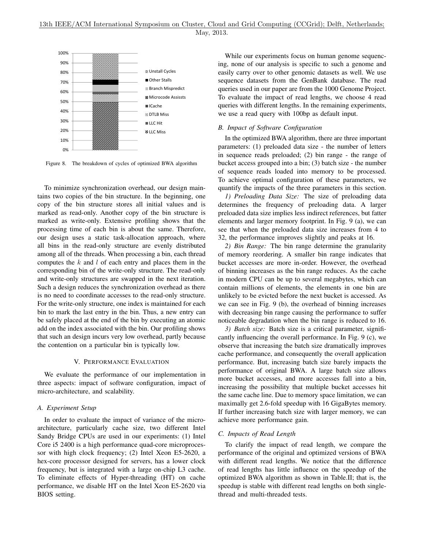

Figure 8. The breakdown of cycles of optimized BWA algorithm

To minimize synchronization overhead, our design maintains two copies of the bin structure. In the beginning, one copy of the bin structure stores all initial values and is marked as read-only. Another copy of the bin structure is marked as write-only. Extensive profiling shows that the processing time of each bin is about the same. Therefore, our design uses a static task-allocation approach, where all bins in the read-only structure are evenly distributed among all of the threads. When processing a bin, each thread computes the  $k$  and  $l$  of each entry and places them in the corresponding bin of the write-only structure. The read-only and write-only structures are swapped in the next iteration. Such a design reduces the synchronization overhead as there is no need to coordinate accesses to the read-only structure. For the write-only structure, one index is maintained for each bin to mark the last entry in the bin. Thus, a new entry can be safely placed at the end of the bin by executing an atomic add on the index associated with the bin. Our profiling shows that such an design incurs very low overhead, partly because the contention on a particular bin is typically low.

## V. PERFORMANCE EVALUATION

We evaluate the performance of our implementation in three aspects: impact of software configuration, impact of micro-architecture, and scalability.

## *A. Experiment Setup*

In order to evaluate the impact of variance of the microarchitecture, particularly cache size, two different Intel Sandy Bridge CPUs are used in our experiments: (1) Intel Core i5 2400 is a high performance quad-core microprocessor with high clock frequency; (2) Intel Xeon E5-2620, a hex-core processor designed for servers, has a lower clock frequency, but is integrated with a large on-chip L3 cache. To eliminate effects of Hyper-threading (HT) on cache performance, we disable HT on the Intel Xeon E5-2620 via BIOS setting.

While our experiments focus on human genome sequencing, none of our analysis is specific to such a genome and easily carry over to other genomic datasets as well. We use sequence datasets from the GenBank database. The read queries used in our paper are from the 1000 Genome Project. To evaluate the impact of read lengths, we choose 4 read queries with different lengths. In the remaining experiments, we use a read query with 100bp as default input.

### *B. Impact of Software Configuration*

In the optimized BWA algorithm, there are three important parameters: (1) preloaded data size - the number of letters in sequence reads preloaded; (2) bin range - the range of bucket access grouped into a bin; (3) batch size - the number of sequence reads loaded into memory to be processed. To achieve optimal configuration of these parameters, we quantify the impacts of the three parameters in this section.

*1) Preloading Data Size:* The size of preloading data determines the frequency of preloading data. A larger preloaded data size implies less indirect references, but fatter elements and larger memory footprint. In Fig. 9 (a), we can see that when the preloaded data size increases from 4 to 32, the performance improves slightly and peaks at 16.

*2) Bin Range:* The bin range determine the granularity of memory reordering. A smaller bin range indicates that bucket accesses are more in-order. However, the overhead of binning increases as the bin range reduces. As the cache in modern CPU can be up to several megabytes, which can contain millions of elements, the elements in one bin are unlikely to be evicted before the next bucket is accessed. As we can see in Fig. 9 (b), the overhead of binning increases with decreasing bin range causing the performance to suffer noticeable degradation when the bin range is reduced to 16.

*3) Batch size:* Batch size is a critical parameter, significantly influencing the overall performance. In Fig. 9 (c), we observe that increasing the batch size dramatically improves cache performance, and consequently the overall application performance. But, increasing batch size barely impacts the performance of original BWA. A large batch size allows more bucket accesses, and more accesses fall into a bin, increasing the possibility that multiple bucket accesses hit the same cache line. Due to memory space limitation, we can maximally get 2.6-fold speedup with 16 GigaBytes memory. If further increasing batch size with larger memory, we can achieve more performance gain.

# *C. Impacts of Read Length*

To clarify the impact of read length, we compare the performance of the original and optimized versions of BWA with different read lengths. We notice that the difference of read lengths has little influence on the speedup of the optimized BWA algorithm as shown in Table.II; that is, the speedup is stable with different read lengths on both singlethread and multi-threaded tests.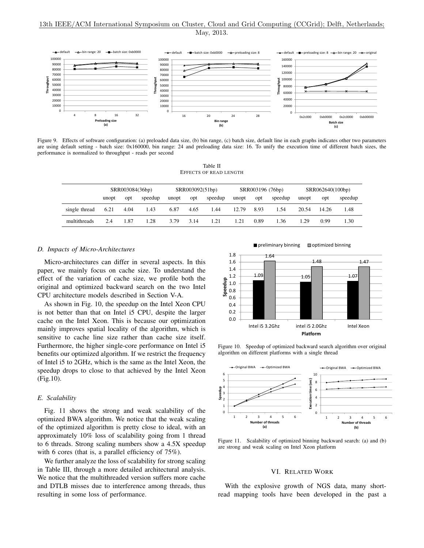

Figure 9. Effects of software configuration: (a) preloaded data size, (b) bin range, (c) batch size, default line in each graphs indicates other two parameters are using default setting - batch size: 0x160000, bin range: 24 and preloading data size: 16. To unify the execution time of different batch sizes, the performance is normalized to throughput - reads per second

Table II EFFECTS OF READ LENGTH

|               | SRR003084(36bp) |      | SRR003092(51bp) |       | SRR003196 (76bp) |         | SRR062640(100bp) |      |         |       |       |         |
|---------------|-----------------|------|-----------------|-------|------------------|---------|------------------|------|---------|-------|-------|---------|
|               | unopt           | opt  | speedup         | unopt | opt              | speedup | unopt            | opt  | speedup | unopt | opt   | speedup |
| single thread | 6.21            | 4.04 | 1.43            | 6.87  | 4.65             | 1.44    | 12.79            | 8.93 | 1.54    | 20.54 | 14.26 | 1.48    |
| multithreads  | 2.4             | I.87 | 1.28            | 3.79  | 3.14             | 1.21    | 1.21             | 0.89 | .36     | 29    | 0.99  | 1.30    |

## *D. Impacts of Micro-Architectures*

Micro-architectures can differ in several aspects. In this paper, we mainly focus on cache size. To understand the effect of the variation of cache size, we profile both the original and optimized backward search on the two Intel CPU architecture models described in Section V-A.

As shown in Fig. 10, the speedup on the Intel Xeon CPU is not better than that on Intel i5 CPU, despite the larger cache on the Intel Xeon. This is because our optimization mainly improves spatial locality of the algorithm, which is sensitive to cache line size rather than cache size itself. Furthermore, the higher single-core performance on Intel i5 benefits our optimized algorithm. If we restrict the frequency of Intel i5 to 2GHz, which is the same as the Intel Xeon, the speedup drops to close to that achieved by the Intel Xeon (Fig.10).

### *E. Scalability*

Fig. 11 shows the strong and weak scalability of the optimized BWA algorithm. We notice that the weak scaling of the optimized algorithm is pretty close to ideal, with an approximately 10% loss of scalability going from 1 thread to 6 threads. Strong scaling numbers show a 4.5X speedup with 6 cores (that is, a parallel efficiency of 75%).

We further analyze the loss of scalability for strong scaling in Table III, through a more detailed architectural analysis. We notice that the multithreaded version suffers more cache and DTLB misses due to interference among threads, thus resulting in some loss of performance.



Figure 10. Speedup of optimized backward search algorithm over original algorithm on different platforms with a single thread



Figure 11. Scalability of optimized binning backward search: (a) and (b) are strong and weak scaling on Intel Xeon platform

#### VI. RELATED WORK

With the explosive growth of NGS data, many shortread mapping tools have been developed in the past a